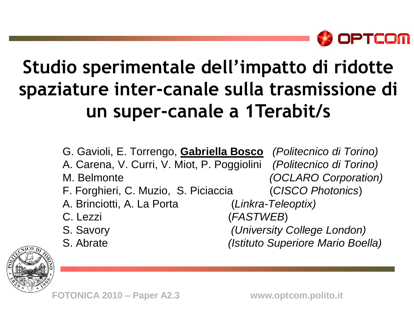

### **Studio sperimentale dell'impatto di ridotte spaziature inter-canale sulla trasmissione di un super-canale a 1Terabit/s**

G. Gavioli, E. Torrengo, **Gabriella Bosco** *(Politecnico di Torino)* A. Carena, V. Curri, V. Miot, P. Poggiolini *(Politecnico di Torino)* M. Belmonte *(OCLARO Corporation)* F. Forghieri, C. Muzio, S. Piciaccia (*CISCO Photonics*) A. Brinciotti, A. La Porta (*Linkra-Teleoptix)* C. Lezzi (*FASTWEB*) S. Savory *(University College London)* S. Abrate *(Istituto Superiore Mario Boella)*



**FOTONICA 2010 – Paper A2.3 www.optcom.polito.it**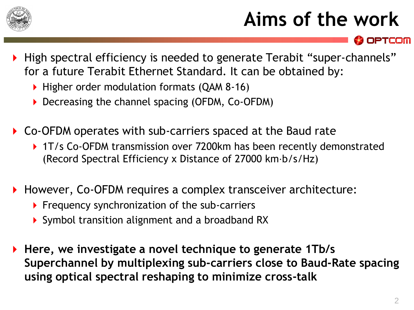

# **Aims of the work**

High spectral efficiency is needed to generate Terabit "super-channels" for a future Terabit Ethernet Standard. It can be obtained by:

- ▶ Higher order modulation formats (QAM 8-16)
- ▶ Decreasing the channel spacing (OFDM, Co-OFDM)
- Co-OFDM operates with sub-carriers spaced at the Baud rate
	- ▶ 1T/s Co-OFDM transmission over 7200km has been recently demonstrated (Record Spectral Efficiency x Distance of 27000 km⋅b/s/Hz)
- ▶ However, Co-OFDM requires a complex transceiver architecture:
	- $\triangleright$  Frequency synchronization of the sub-carriers
	- Symbol transition alignment and a broadband RX
- **Here, we investigate a novel technique to generate 1Tb/s Superchannel by multiplexing sub-carriers close to Baud-Rate spacing using optical spectral reshaping to minimize cross-talk**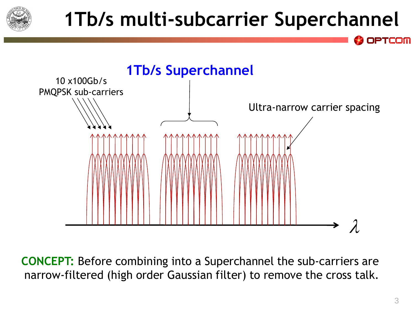

# **1Tb/s multi-subcarrier Superchannel**



**CONCEPT:** Before combining into a Superchannel the sub-carriers are narrow-filtered (high order Gaussian filter) to remove the cross talk.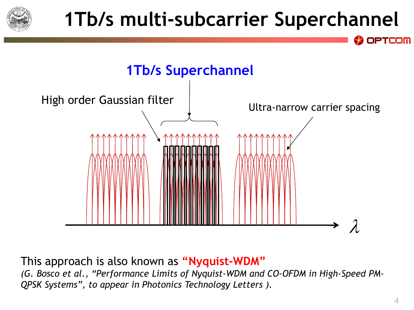

# **1Tb/s multi-subcarrier Superchannel**



This approach is also known as **"Nyquist-WDM"**

*(G. Bosco et al., "Performance Limits of Nyquist-WDM and CO-OFDM in High-Speed PM-QPSK Systems", to appear in Photonics Technology Letters ).*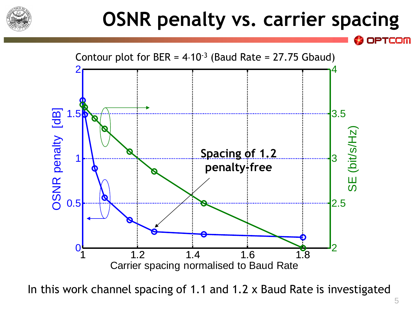

## **OSNR penalty vs. carrier spacing**



In this work channel spacing of 1.1 and 1.2 x Baud Rate is investigated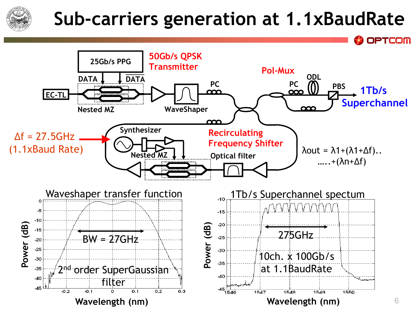

#### **Sub-carriers generation at 1.1xBaudRate**

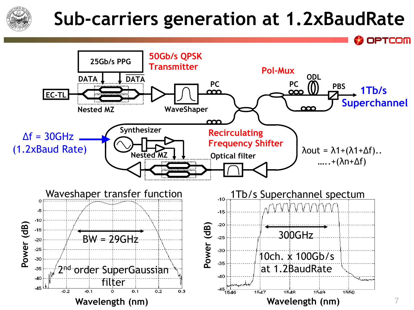

#### **Sub-carriers generation at 1.2xBaudRate**

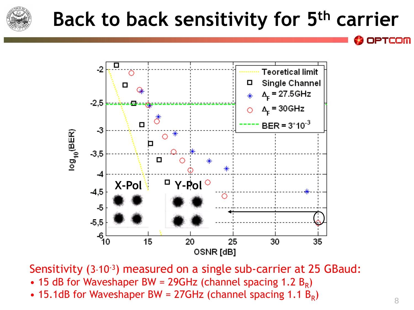

## **Back to back sensitivity for 5th carrier**



Sensitivity (3.10<sup>-3</sup>) measured on a single sub-carrier at 25 GBaud:

- 15 dB for Waveshaper BW = 29GHz (channel spacing 1.2  $B_R$ )
- 15.1dB for Waveshaper BW = 27GHz (channel spacing 1.1  $B_R$ )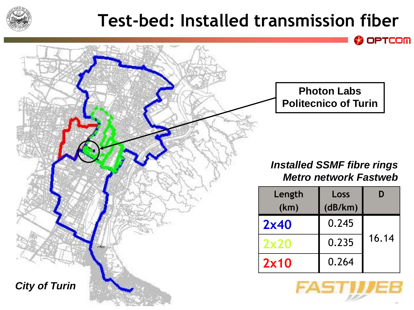

#### **Test-bed: Installed transmission fiber**

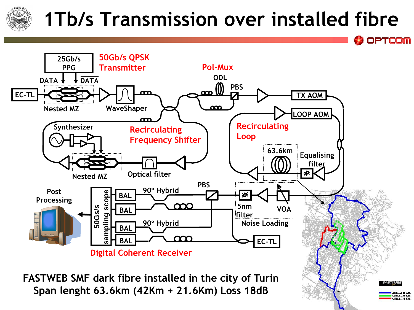## **1Tb/s Transmission over installed fibre**

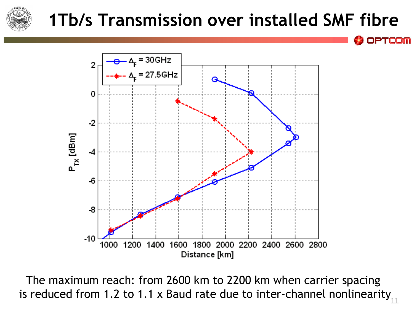

#### **1Tb/s Transmission over installed SMF fibre**

**PTCOM** 



11 The maximum reach: from 2600 km to 2200 km when carrier spacing is reduced from 1.2 to 1.1 x Baud rate due to inter-channel nonlinearity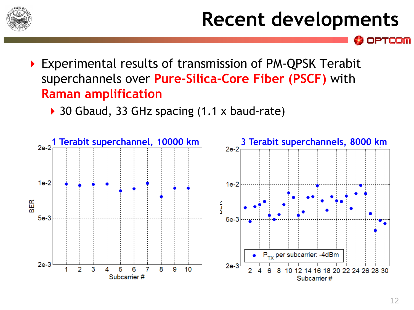

## **Recent developments**

- Experimental results of transmission of PM-QPSK Terabit superchannels over **Pure-Silica-Core Fiber (PSCF)** with **Raman amplification**
	- ▶ 30 Gbaud, 33 GHz spacing (1.1 x baud-rate)

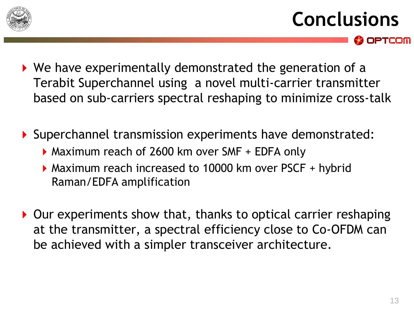

- **Conclusions OPTCOM**
- We have experimentally demonstrated the generation of a Terabit Superchannel using a novel multi-carrier transmitter based on sub-carriers spectral reshaping to minimize cross-talk
- Superchannel transmission experiments have demonstrated:
	- Maximum reach of 2600 km over SMF + EDFA only
	- Maximum reach increased to 10000 km over PSCF + hybrid Raman/EDFA amplification
- ▶ Our experiments show that, thanks to optical carrier reshaping at the transmitter, a spectral efficiency close to Co-OFDM can be achieved with a simpler transceiver architecture.